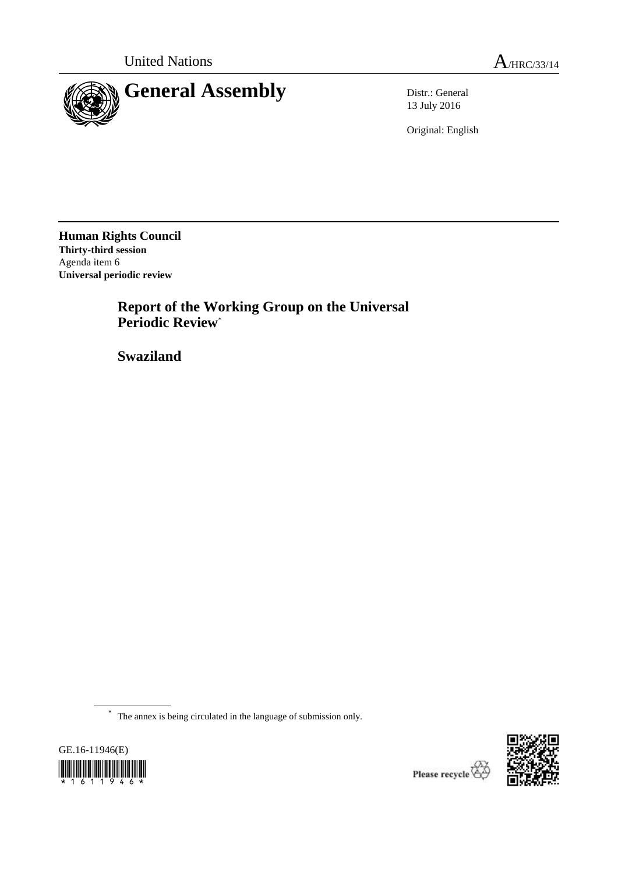

13 July 2016

Original: English

**Human Rights Council Thirty-third session** Agenda item 6 **Universal periodic review**

> **Report of the Working Group on the Universal Periodic Review**\*

**Swaziland**

\* The annex is being circulated in the language of submission only.



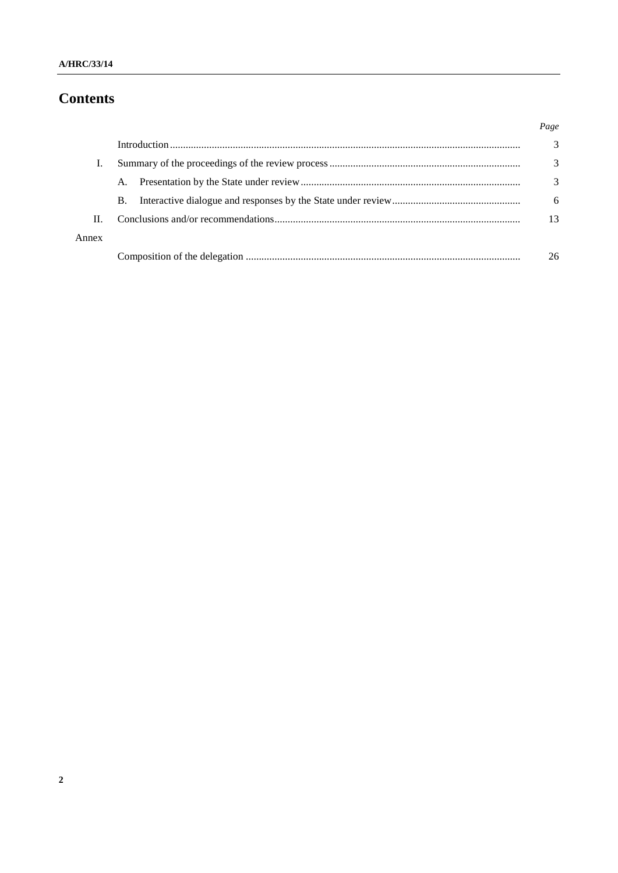# **Contents**

|       |    | Page          |
|-------|----|---------------|
|       |    | $\mathcal{R}$ |
|       |    | 3             |
|       | A. | 3             |
|       | B. | 6             |
| II.   |    | 13            |
| Annex |    |               |
|       |    | 26            |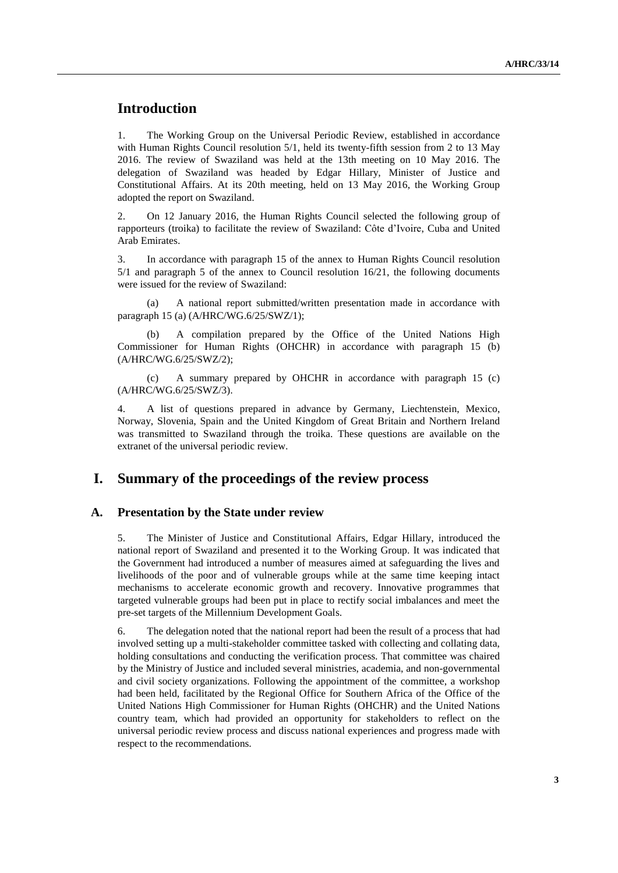# **Introduction**

1. The Working Group on the Universal Periodic Review, established in accordance with Human Rights Council resolution 5/1, held its twenty-fifth session from 2 to 13 May 2016. The review of Swaziland was held at the 13th meeting on 10 May 2016. The delegation of Swaziland was headed by Edgar Hillary, Minister of Justice and Constitutional Affairs. At its 20th meeting, held on 13 May 2016, the Working Group adopted the report on Swaziland.

2. On 12 January 2016, the Human Rights Council selected the following group of rapporteurs (troika) to facilitate the review of Swaziland: Côte d'Ivoire, Cuba and United Arab Emirates.

3. In accordance with paragraph 15 of the annex to Human Rights Council resolution 5/1 and paragraph 5 of the annex to Council resolution 16/21, the following documents were issued for the review of Swaziland:

(a) A national report submitted/written presentation made in accordance with paragraph 15 (a) (A/HRC/WG.6/25/SWZ/1);

(b) A compilation prepared by the Office of the United Nations High Commissioner for Human Rights (OHCHR) in accordance with paragraph 15 (b) (A/HRC/WG.6/25/SWZ/2);

(c) A summary prepared by OHCHR in accordance with paragraph 15 (c) (A/HRC/WG.6/25/SWZ/3).

4. A list of questions prepared in advance by Germany, Liechtenstein, Mexico, Norway, Slovenia, Spain and the United Kingdom of Great Britain and Northern Ireland was transmitted to Swaziland through the troika. These questions are available on the extranet of the universal periodic review.

## **I. Summary of the proceedings of the review process**

#### **A. Presentation by the State under review**

5. The Minister of Justice and Constitutional Affairs, Edgar Hillary, introduced the national report of Swaziland and presented it to the Working Group. It was indicated that the Government had introduced a number of measures aimed at safeguarding the lives and livelihoods of the poor and of vulnerable groups while at the same time keeping intact mechanisms to accelerate economic growth and recovery. Innovative programmes that targeted vulnerable groups had been put in place to rectify social imbalances and meet the pre-set targets of the Millennium Development Goals.

6. The delegation noted that the national report had been the result of a process that had involved setting up a multi-stakeholder committee tasked with collecting and collating data, holding consultations and conducting the verification process. That committee was chaired by the Ministry of Justice and included several ministries, academia, and non-governmental and civil society organizations. Following the appointment of the committee, a workshop had been held, facilitated by the Regional Office for Southern Africa of the Office of the United Nations High Commissioner for Human Rights (OHCHR) and the United Nations country team, which had provided an opportunity for stakeholders to reflect on the universal periodic review process and discuss national experiences and progress made with respect to the recommendations.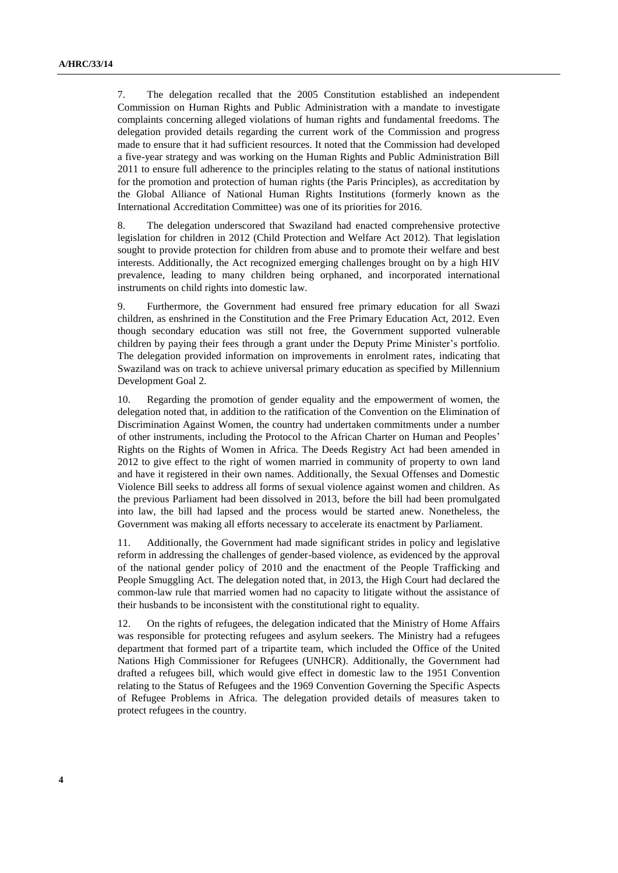7. The delegation recalled that the 2005 Constitution established an independent Commission on Human Rights and Public Administration with a mandate to investigate complaints concerning alleged violations of human rights and fundamental freedoms. The delegation provided details regarding the current work of the Commission and progress made to ensure that it had sufficient resources. It noted that the Commission had developed a five-year strategy and was working on the Human Rights and Public Administration Bill 2011 to ensure full adherence to the principles relating to the status of national institutions for the promotion and protection of human rights (the Paris Principles), as accreditation by the Global Alliance of National Human Rights Institutions (formerly known as the International Accreditation Committee) was one of its priorities for 2016.

8. The delegation underscored that Swaziland had enacted comprehensive protective legislation for children in 2012 (Child Protection and Welfare Act 2012). That legislation sought to provide protection for children from abuse and to promote their welfare and best interests. Additionally, the Act recognized emerging challenges brought on by a high HIV prevalence, leading to many children being orphaned, and incorporated international instruments on child rights into domestic law.

9. Furthermore, the Government had ensured free primary education for all Swazi children, as enshrined in the Constitution and the Free Primary Education Act, 2012. Even though secondary education was still not free, the Government supported vulnerable children by paying their fees through a grant under the Deputy Prime Minister's portfolio. The delegation provided information on improvements in enrolment rates, indicating that Swaziland was on track to achieve universal primary education as specified by Millennium Development Goal 2.

10. Regarding the promotion of gender equality and the empowerment of women, the delegation noted that, in addition to the ratification of the Convention on the Elimination of Discrimination Against Women, the country had undertaken commitments under a number of other instruments, including the Protocol to the African Charter on Human and Peoples' Rights on the Rights of Women in Africa. The Deeds Registry Act had been amended in 2012 to give effect to the right of women married in community of property to own land and have it registered in their own names. Additionally, the Sexual Offenses and Domestic Violence Bill seeks to address all forms of sexual violence against women and children. As the previous Parliament had been dissolved in 2013, before the bill had been promulgated into law, the bill had lapsed and the process would be started anew. Nonetheless, the Government was making all efforts necessary to accelerate its enactment by Parliament.

11. Additionally, the Government had made significant strides in policy and legislative reform in addressing the challenges of gender-based violence, as evidenced by the approval of the national gender policy of 2010 and the enactment of the People Trafficking and People Smuggling Act. The delegation noted that, in 2013, the High Court had declared the common-law rule that married women had no capacity to litigate without the assistance of their husbands to be inconsistent with the constitutional right to equality.

12. On the rights of refugees, the delegation indicated that the Ministry of Home Affairs was responsible for protecting refugees and asylum seekers. The Ministry had a refugees department that formed part of a tripartite team, which included the Office of the United Nations High Commissioner for Refugees (UNHCR). Additionally, the Government had drafted a refugees bill, which would give effect in domestic law to the 1951 Convention relating to the Status of Refugees and the 1969 Convention Governing the Specific Aspects of Refugee Problems in Africa. The delegation provided details of measures taken to protect refugees in the country.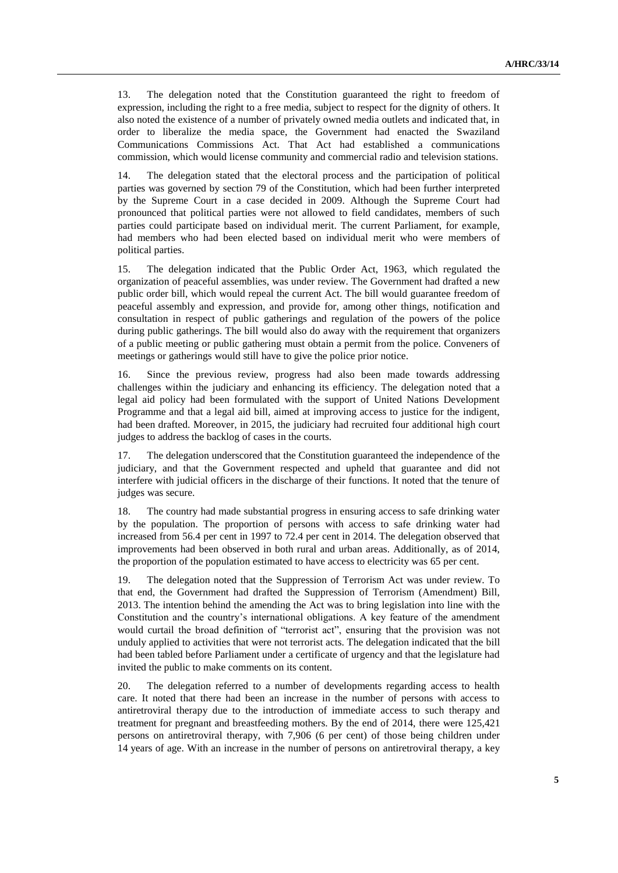13. The delegation noted that the Constitution guaranteed the right to freedom of expression, including the right to a free media, subject to respect for the dignity of others. It also noted the existence of a number of privately owned media outlets and indicated that, in order to liberalize the media space, the Government had enacted the Swaziland Communications Commissions Act. That Act had established a communications commission, which would license community and commercial radio and television stations.

14. The delegation stated that the electoral process and the participation of political parties was governed by section 79 of the Constitution, which had been further interpreted by the Supreme Court in a case decided in 2009. Although the Supreme Court had pronounced that political parties were not allowed to field candidates, members of such parties could participate based on individual merit. The current Parliament, for example, had members who had been elected based on individual merit who were members of political parties.

15. The delegation indicated that the Public Order Act, 1963, which regulated the organization of peaceful assemblies, was under review. The Government had drafted a new public order bill, which would repeal the current Act. The bill would guarantee freedom of peaceful assembly and expression, and provide for, among other things, notification and consultation in respect of public gatherings and regulation of the powers of the police during public gatherings. The bill would also do away with the requirement that organizers of a public meeting or public gathering must obtain a permit from the police. Conveners of meetings or gatherings would still have to give the police prior notice.

16. Since the previous review, progress had also been made towards addressing challenges within the judiciary and enhancing its efficiency. The delegation noted that a legal aid policy had been formulated with the support of United Nations Development Programme and that a legal aid bill, aimed at improving access to justice for the indigent, had been drafted. Moreover, in 2015, the judiciary had recruited four additional high court judges to address the backlog of cases in the courts.

17. The delegation underscored that the Constitution guaranteed the independence of the judiciary, and that the Government respected and upheld that guarantee and did not interfere with judicial officers in the discharge of their functions. It noted that the tenure of judges was secure.

18. The country had made substantial progress in ensuring access to safe drinking water by the population. The proportion of persons with access to safe drinking water had increased from 56.4 per cent in 1997 to 72.4 per cent in 2014. The delegation observed that improvements had been observed in both rural and urban areas. Additionally, as of 2014, the proportion of the population estimated to have access to electricity was 65 per cent.

19. The delegation noted that the Suppression of Terrorism Act was under review. To that end, the Government had drafted the Suppression of Terrorism (Amendment) Bill, 2013. The intention behind the amending the Act was to bring legislation into line with the Constitution and the country's international obligations. A key feature of the amendment would curtail the broad definition of "terrorist act", ensuring that the provision was not unduly applied to activities that were not terrorist acts. The delegation indicated that the bill had been tabled before Parliament under a certificate of urgency and that the legislature had invited the public to make comments on its content.

20. The delegation referred to a number of developments regarding access to health care. It noted that there had been an increase in the number of persons with access to antiretroviral therapy due to the introduction of immediate access to such therapy and treatment for pregnant and breastfeeding mothers. By the end of 2014, there were 125,421 persons on antiretroviral therapy, with 7,906 (6 per cent) of those being children under 14 years of age. With an increase in the number of persons on antiretroviral therapy, a key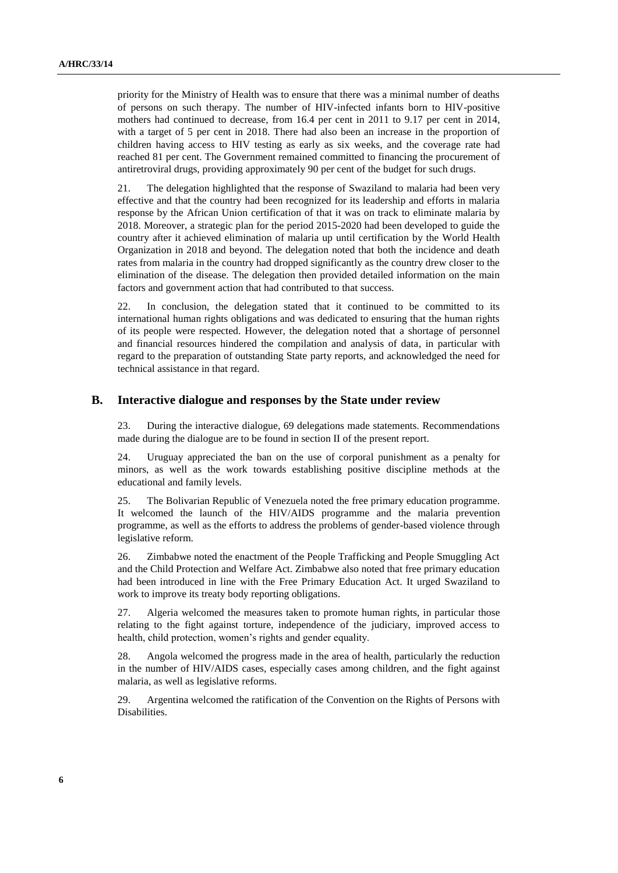priority for the Ministry of Health was to ensure that there was a minimal number of deaths of persons on such therapy. The number of HIV-infected infants born to HIV-positive mothers had continued to decrease, from 16.4 per cent in 2011 to 9.17 per cent in 2014, with a target of 5 per cent in 2018. There had also been an increase in the proportion of children having access to HIV testing as early as six weeks, and the coverage rate had reached 81 per cent. The Government remained committed to financing the procurement of antiretroviral drugs, providing approximately 90 per cent of the budget for such drugs.

21. The delegation highlighted that the response of Swaziland to malaria had been very effective and that the country had been recognized for its leadership and efforts in malaria response by the African Union certification of that it was on track to eliminate malaria by 2018. Moreover, a strategic plan for the period 2015-2020 had been developed to guide the country after it achieved elimination of malaria up until certification by the World Health Organization in 2018 and beyond. The delegation noted that both the incidence and death rates from malaria in the country had dropped significantly as the country drew closer to the elimination of the disease. The delegation then provided detailed information on the main factors and government action that had contributed to that success.

22. In conclusion, the delegation stated that it continued to be committed to its international human rights obligations and was dedicated to ensuring that the human rights of its people were respected. However, the delegation noted that a shortage of personnel and financial resources hindered the compilation and analysis of data, in particular with regard to the preparation of outstanding State party reports, and acknowledged the need for technical assistance in that regard.

#### **B. Interactive dialogue and responses by the State under review**

23. During the interactive dialogue, 69 delegations made statements. Recommendations made during the dialogue are to be found in section II of the present report.

24. Uruguay appreciated the ban on the use of corporal punishment as a penalty for minors, as well as the work towards establishing positive discipline methods at the educational and family levels.

25. The Bolivarian Republic of Venezuela noted the free primary education programme. It welcomed the launch of the HIV/AIDS programme and the malaria prevention programme, as well as the efforts to address the problems of gender-based violence through legislative reform.

26. Zimbabwe noted the enactment of the People Trafficking and People Smuggling Act and the Child Protection and Welfare Act. Zimbabwe also noted that free primary education had been introduced in line with the Free Primary Education Act. It urged Swaziland to work to improve its treaty body reporting obligations.

27. Algeria welcomed the measures taken to promote human rights, in particular those relating to the fight against torture, independence of the judiciary, improved access to health, child protection, women's rights and gender equality.

28. Angola welcomed the progress made in the area of health, particularly the reduction in the number of HIV/AIDS cases, especially cases among children, and the fight against malaria, as well as legislative reforms.

29. Argentina welcomed the ratification of the Convention on the Rights of Persons with Disabilities.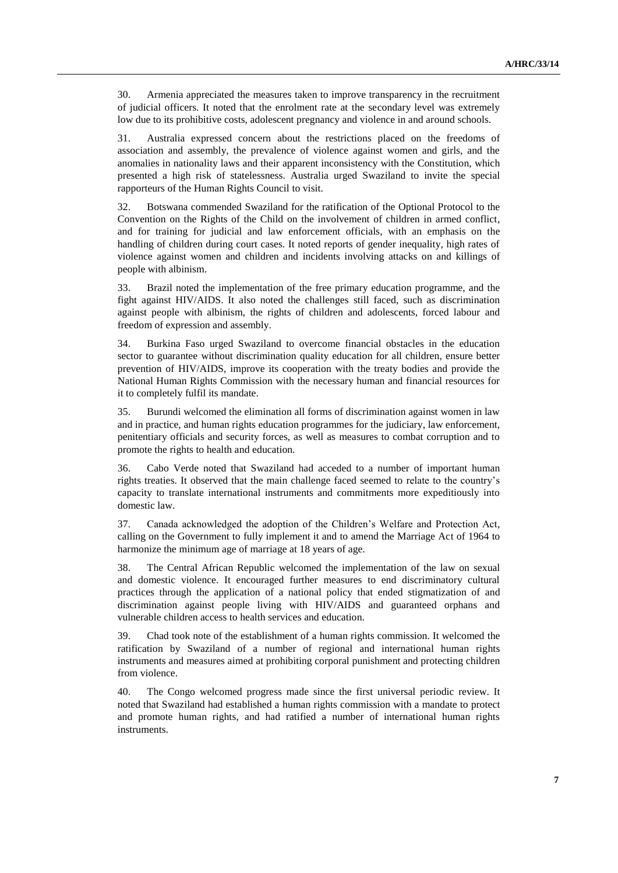30. Armenia appreciated the measures taken to improve transparency in the recruitment of judicial officers. It noted that the enrolment rate at the secondary level was extremely low due to its prohibitive costs, adolescent pregnancy and violence in and around schools.

31. Australia expressed concern about the restrictions placed on the freedoms of association and assembly, the prevalence of violence against women and girls, and the anomalies in nationality laws and their apparent inconsistency with the Constitution, which presented a high risk of statelessness. Australia urged Swaziland to invite the special rapporteurs of the Human Rights Council to visit.

32. Botswana commended Swaziland for the ratification of the Optional Protocol to the Convention on the Rights of the Child on the involvement of children in armed conflict, and for training for judicial and law enforcement officials, with an emphasis on the handling of children during court cases. It noted reports of gender inequality, high rates of violence against women and children and incidents involving attacks on and killings of people with albinism.

33. Brazil noted the implementation of the free primary education programme, and the fight against HIV/AIDS. It also noted the challenges still faced, such as discrimination against people with albinism, the rights of children and adolescents, forced labour and freedom of expression and assembly.

34. Burkina Faso urged Swaziland to overcome financial obstacles in the education sector to guarantee without discrimination quality education for all children, ensure better prevention of HIV/AIDS, improve its cooperation with the treaty bodies and provide the National Human Rights Commission with the necessary human and financial resources for it to completely fulfil its mandate.

35. Burundi welcomed the elimination all forms of discrimination against women in law and in practice, and human rights education programmes for the judiciary, law enforcement, penitentiary officials and security forces, as well as measures to combat corruption and to promote the rights to health and education.

36. Cabo Verde noted that Swaziland had acceded to a number of important human rights treaties. It observed that the main challenge faced seemed to relate to the country's capacity to translate international instruments and commitments more expeditiously into domestic law.

37. Canada acknowledged the adoption of the Children's Welfare and Protection Act, calling on the Government to fully implement it and to amend the Marriage Act of 1964 to harmonize the minimum age of marriage at 18 years of age.

38. The Central African Republic welcomed the implementation of the law on sexual and domestic violence. It encouraged further measures to end discriminatory cultural practices through the application of a national policy that ended stigmatization of and discrimination against people living with HIV/AIDS and guaranteed orphans and vulnerable children access to health services and education.

39. Chad took note of the establishment of a human rights commission. It welcomed the ratification by Swaziland of a number of regional and international human rights instruments and measures aimed at prohibiting corporal punishment and protecting children from violence.

40. The Congo welcomed progress made since the first universal periodic review. It noted that Swaziland had established a human rights commission with a mandate to protect and promote human rights, and had ratified a number of international human rights instruments.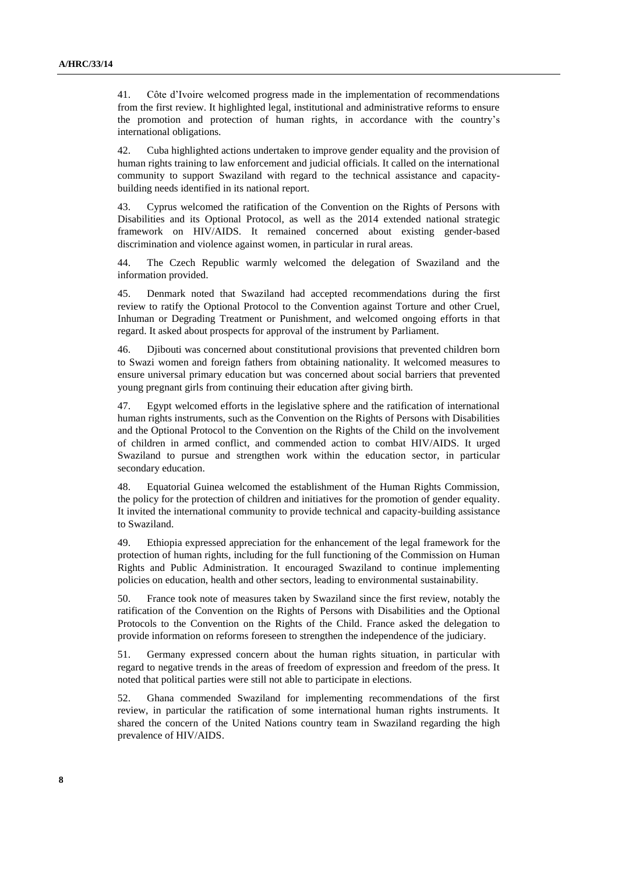41. Côte d'Ivoire welcomed progress made in the implementation of recommendations from the first review. It highlighted legal, institutional and administrative reforms to ensure the promotion and protection of human rights, in accordance with the country's international obligations.

42. Cuba highlighted actions undertaken to improve gender equality and the provision of human rights training to law enforcement and judicial officials. It called on the international community to support Swaziland with regard to the technical assistance and capacitybuilding needs identified in its national report.

43. Cyprus welcomed the ratification of the Convention on the Rights of Persons with Disabilities and its Optional Protocol, as well as the 2014 extended national strategic framework on HIV/AIDS. It remained concerned about existing gender-based discrimination and violence against women, in particular in rural areas.

44. The Czech Republic warmly welcomed the delegation of Swaziland and the information provided.

45. Denmark noted that Swaziland had accepted recommendations during the first review to ratify the Optional Protocol to the Convention against Torture and other Cruel, Inhuman or Degrading Treatment or Punishment, and welcomed ongoing efforts in that regard. It asked about prospects for approval of the instrument by Parliament.

46. Djibouti was concerned about constitutional provisions that prevented children born to Swazi women and foreign fathers from obtaining nationality. It welcomed measures to ensure universal primary education but was concerned about social barriers that prevented young pregnant girls from continuing their education after giving birth.

47. Egypt welcomed efforts in the legislative sphere and the ratification of international human rights instruments, such as the Convention on the Rights of Persons with Disabilities and the Optional Protocol to the Convention on the Rights of the Child on the involvement of children in armed conflict, and commended action to combat HIV/AIDS. It urged Swaziland to pursue and strengthen work within the education sector, in particular secondary education.

48. Equatorial Guinea welcomed the establishment of the Human Rights Commission, the policy for the protection of children and initiatives for the promotion of gender equality. It invited the international community to provide technical and capacity-building assistance to Swaziland.

49. Ethiopia expressed appreciation for the enhancement of the legal framework for the protection of human rights, including for the full functioning of the Commission on Human Rights and Public Administration. It encouraged Swaziland to continue implementing policies on education, health and other sectors, leading to environmental sustainability.

50. France took note of measures taken by Swaziland since the first review, notably the ratification of the Convention on the Rights of Persons with Disabilities and the Optional Protocols to the Convention on the Rights of the Child. France asked the delegation to provide information on reforms foreseen to strengthen the independence of the judiciary.

51. Germany expressed concern about the human rights situation, in particular with regard to negative trends in the areas of freedom of expression and freedom of the press. It noted that political parties were still not able to participate in elections.

52. Ghana commended Swaziland for implementing recommendations of the first review, in particular the ratification of some international human rights instruments. It shared the concern of the United Nations country team in Swaziland regarding the high prevalence of HIV/AIDS.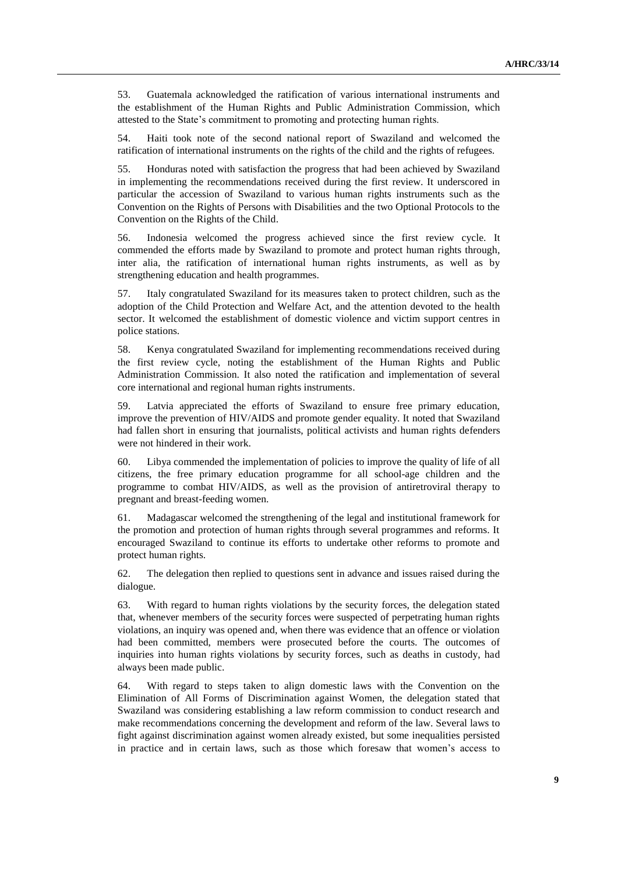53. Guatemala acknowledged the ratification of various international instruments and the establishment of the Human Rights and Public Administration Commission, which attested to the State's commitment to promoting and protecting human rights.

54. Haiti took note of the second national report of Swaziland and welcomed the ratification of international instruments on the rights of the child and the rights of refugees.

55. Honduras noted with satisfaction the progress that had been achieved by Swaziland in implementing the recommendations received during the first review. It underscored in particular the accession of Swaziland to various human rights instruments such as the Convention on the Rights of Persons with Disabilities and the two Optional Protocols to the Convention on the Rights of the Child.

56. Indonesia welcomed the progress achieved since the first review cycle. It commended the efforts made by Swaziland to promote and protect human rights through, inter alia, the ratification of international human rights instruments, as well as by strengthening education and health programmes.

57. Italy congratulated Swaziland for its measures taken to protect children, such as the adoption of the Child Protection and Welfare Act, and the attention devoted to the health sector. It welcomed the establishment of domestic violence and victim support centres in police stations.

58. Kenya congratulated Swaziland for implementing recommendations received during the first review cycle, noting the establishment of the Human Rights and Public Administration Commission. It also noted the ratification and implementation of several core international and regional human rights instruments.

59. Latvia appreciated the efforts of Swaziland to ensure free primary education, improve the prevention of HIV/AIDS and promote gender equality. It noted that Swaziland had fallen short in ensuring that journalists, political activists and human rights defenders were not hindered in their work.

60. Libya commended the implementation of policies to improve the quality of life of all citizens, the free primary education programme for all school-age children and the programme to combat HIV/AIDS, as well as the provision of antiretroviral therapy to pregnant and breast-feeding women.

61. Madagascar welcomed the strengthening of the legal and institutional framework for the promotion and protection of human rights through several programmes and reforms. It encouraged Swaziland to continue its efforts to undertake other reforms to promote and protect human rights.

62. The delegation then replied to questions sent in advance and issues raised during the dialogue.

63. With regard to human rights violations by the security forces, the delegation stated that, whenever members of the security forces were suspected of perpetrating human rights violations, an inquiry was opened and, when there was evidence that an offence or violation had been committed, members were prosecuted before the courts. The outcomes of inquiries into human rights violations by security forces, such as deaths in custody, had always been made public.

64. With regard to steps taken to align domestic laws with the Convention on the Elimination of All Forms of Discrimination against Women, the delegation stated that Swaziland was considering establishing a law reform commission to conduct research and make recommendations concerning the development and reform of the law. Several laws to fight against discrimination against women already existed, but some inequalities persisted in practice and in certain laws, such as those which foresaw that women's access to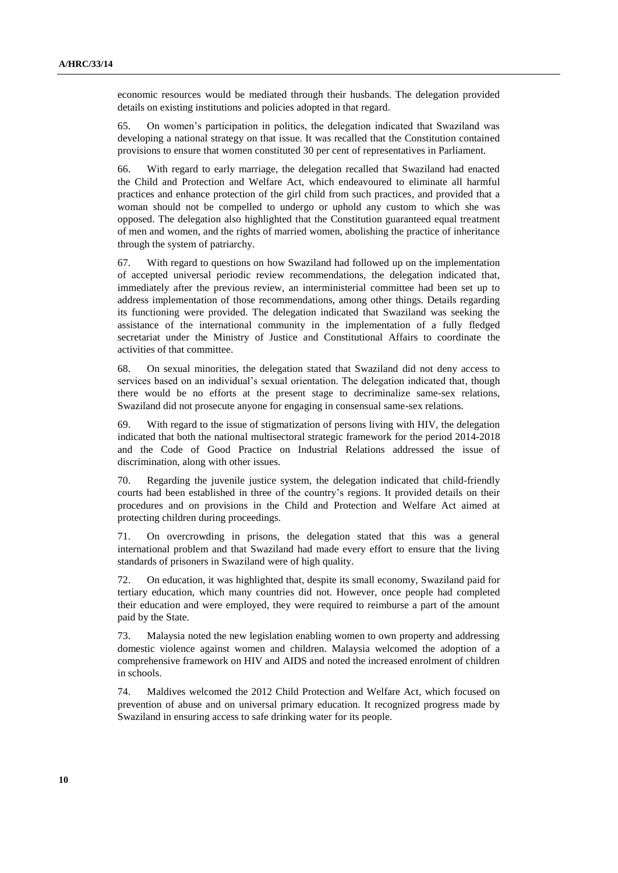economic resources would be mediated through their husbands. The delegation provided details on existing institutions and policies adopted in that regard.

65. On women's participation in politics, the delegation indicated that Swaziland was developing a national strategy on that issue. It was recalled that the Constitution contained provisions to ensure that women constituted 30 per cent of representatives in Parliament.

66. With regard to early marriage, the delegation recalled that Swaziland had enacted the Child and Protection and Welfare Act, which endeavoured to eliminate all harmful practices and enhance protection of the girl child from such practices, and provided that a woman should not be compelled to undergo or uphold any custom to which she was opposed. The delegation also highlighted that the Constitution guaranteed equal treatment of men and women, and the rights of married women, abolishing the practice of inheritance through the system of patriarchy.

67. With regard to questions on how Swaziland had followed up on the implementation of accepted universal periodic review recommendations, the delegation indicated that, immediately after the previous review, an interministerial committee had been set up to address implementation of those recommendations, among other things. Details regarding its functioning were provided. The delegation indicated that Swaziland was seeking the assistance of the international community in the implementation of a fully fledged secretariat under the Ministry of Justice and Constitutional Affairs to coordinate the activities of that committee.

68. On sexual minorities, the delegation stated that Swaziland did not deny access to services based on an individual's sexual orientation. The delegation indicated that, though there would be no efforts at the present stage to decriminalize same-sex relations, Swaziland did not prosecute anyone for engaging in consensual same-sex relations.

69. With regard to the issue of stigmatization of persons living with HIV, the delegation indicated that both the national multisectoral strategic framework for the period 2014-2018 and the Code of Good Practice on Industrial Relations addressed the issue of discrimination, along with other issues.

70. Regarding the juvenile justice system, the delegation indicated that child-friendly courts had been established in three of the country's regions. It provided details on their procedures and on provisions in the Child and Protection and Welfare Act aimed at protecting children during proceedings.

71. On overcrowding in prisons, the delegation stated that this was a general international problem and that Swaziland had made every effort to ensure that the living standards of prisoners in Swaziland were of high quality.

72. On education, it was highlighted that, despite its small economy, Swaziland paid for tertiary education, which many countries did not. However, once people had completed their education and were employed, they were required to reimburse a part of the amount paid by the State.

73. Malaysia noted the new legislation enabling women to own property and addressing domestic violence against women and children. Malaysia welcomed the adoption of a comprehensive framework on HIV and AIDS and noted the increased enrolment of children in schools.

74. Maldives welcomed the 2012 Child Protection and Welfare Act, which focused on prevention of abuse and on universal primary education. It recognized progress made by Swaziland in ensuring access to safe drinking water for its people.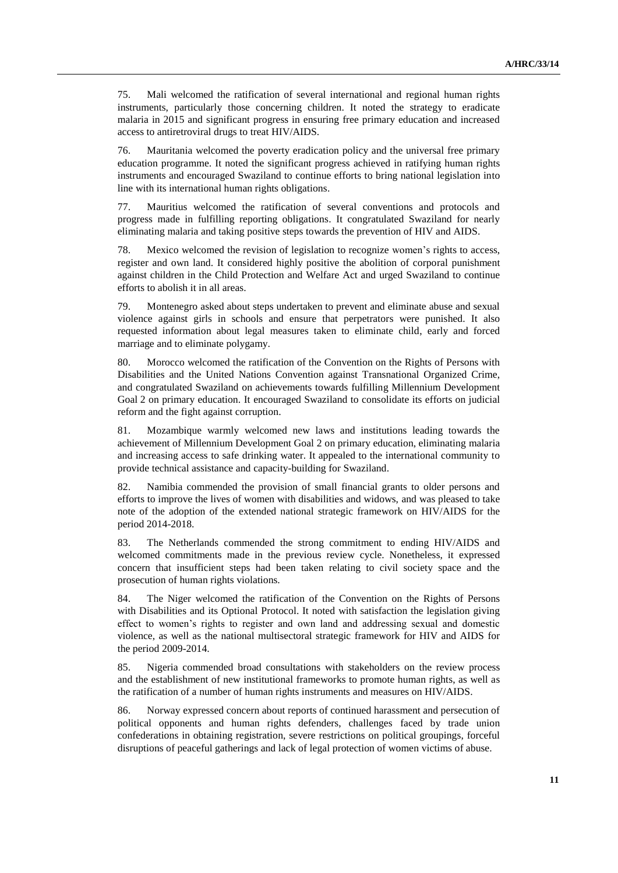75. Mali welcomed the ratification of several international and regional human rights instruments, particularly those concerning children. It noted the strategy to eradicate malaria in 2015 and significant progress in ensuring free primary education and increased access to antiretroviral drugs to treat HIV/AIDS.

76. Mauritania welcomed the poverty eradication policy and the universal free primary education programme. It noted the significant progress achieved in ratifying human rights instruments and encouraged Swaziland to continue efforts to bring national legislation into line with its international human rights obligations.

77. Mauritius welcomed the ratification of several conventions and protocols and progress made in fulfilling reporting obligations. It congratulated Swaziland for nearly eliminating malaria and taking positive steps towards the prevention of HIV and AIDS.

Mexico welcomed the revision of legislation to recognize women's rights to access, register and own land. It considered highly positive the abolition of corporal punishment against children in the Child Protection and Welfare Act and urged Swaziland to continue efforts to abolish it in all areas.

79. Montenegro asked about steps undertaken to prevent and eliminate abuse and sexual violence against girls in schools and ensure that perpetrators were punished. It also requested information about legal measures taken to eliminate child, early and forced marriage and to eliminate polygamy.

80. Morocco welcomed the ratification of the Convention on the Rights of Persons with Disabilities and the United Nations Convention against Transnational Organized Crime, and congratulated Swaziland on achievements towards fulfilling Millennium Development Goal 2 on primary education. It encouraged Swaziland to consolidate its efforts on judicial reform and the fight against corruption.

81. Mozambique warmly welcomed new laws and institutions leading towards the achievement of Millennium Development Goal 2 on primary education, eliminating malaria and increasing access to safe drinking water. It appealed to the international community to provide technical assistance and capacity-building for Swaziland.

82. Namibia commended the provision of small financial grants to older persons and efforts to improve the lives of women with disabilities and widows, and was pleased to take note of the adoption of the extended national strategic framework on HIV/AIDS for the period 2014-2018.

83. The Netherlands commended the strong commitment to ending HIV/AIDS and welcomed commitments made in the previous review cycle. Nonetheless, it expressed concern that insufficient steps had been taken relating to civil society space and the prosecution of human rights violations.

84. The Niger welcomed the ratification of the Convention on the Rights of Persons with Disabilities and its Optional Protocol. It noted with satisfaction the legislation giving effect to women's rights to register and own land and addressing sexual and domestic violence, as well as the national multisectoral strategic framework for HIV and AIDS for the period 2009-2014.

85. Nigeria commended broad consultations with stakeholders on the review process and the establishment of new institutional frameworks to promote human rights, as well as the ratification of a number of human rights instruments and measures on HIV/AIDS.

86. Norway expressed concern about reports of continued harassment and persecution of political opponents and human rights defenders, challenges faced by trade union confederations in obtaining registration, severe restrictions on political groupings, forceful disruptions of peaceful gatherings and lack of legal protection of women victims of abuse.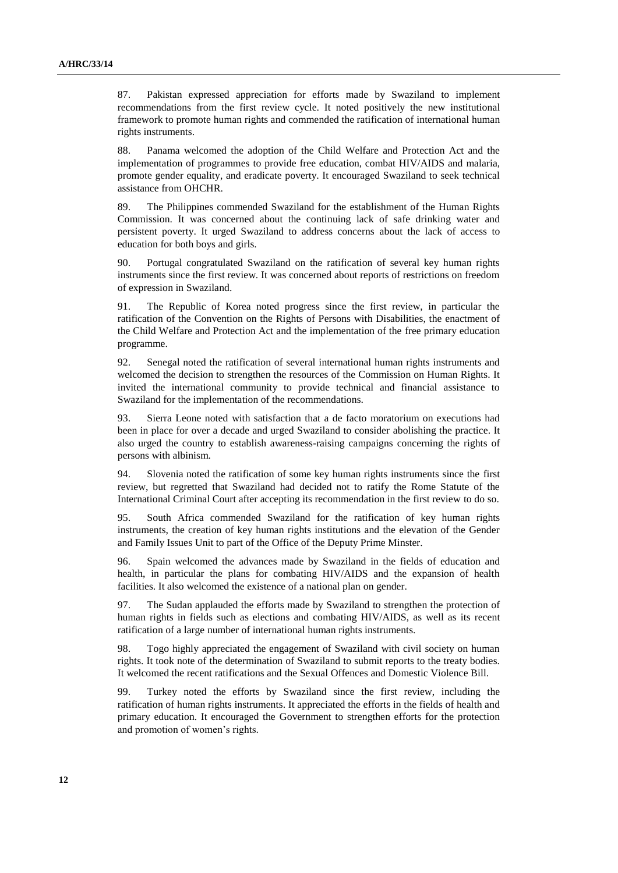87. Pakistan expressed appreciation for efforts made by Swaziland to implement recommendations from the first review cycle. It noted positively the new institutional framework to promote human rights and commended the ratification of international human rights instruments.

88. Panama welcomed the adoption of the Child Welfare and Protection Act and the implementation of programmes to provide free education, combat HIV/AIDS and malaria, promote gender equality, and eradicate poverty. It encouraged Swaziland to seek technical assistance from OHCHR.

89. The Philippines commended Swaziland for the establishment of the Human Rights Commission. It was concerned about the continuing lack of safe drinking water and persistent poverty. It urged Swaziland to address concerns about the lack of access to education for both boys and girls.

90. Portugal congratulated Swaziland on the ratification of several key human rights instruments since the first review. It was concerned about reports of restrictions on freedom of expression in Swaziland.

91. The Republic of Korea noted progress since the first review, in particular the ratification of the Convention on the Rights of Persons with Disabilities, the enactment of the Child Welfare and Protection Act and the implementation of the free primary education programme.

92. Senegal noted the ratification of several international human rights instruments and welcomed the decision to strengthen the resources of the Commission on Human Rights. It invited the international community to provide technical and financial assistance to Swaziland for the implementation of the recommendations.

93. Sierra Leone noted with satisfaction that a de facto moratorium on executions had been in place for over a decade and urged Swaziland to consider abolishing the practice. It also urged the country to establish awareness-raising campaigns concerning the rights of persons with albinism.

94. Slovenia noted the ratification of some key human rights instruments since the first review, but regretted that Swaziland had decided not to ratify the Rome Statute of the International Criminal Court after accepting its recommendation in the first review to do so.

95. South Africa commended Swaziland for the ratification of key human rights instruments, the creation of key human rights institutions and the elevation of the Gender and Family Issues Unit to part of the Office of the Deputy Prime Minster.

96. Spain welcomed the advances made by Swaziland in the fields of education and health, in particular the plans for combating HIV/AIDS and the expansion of health facilities. It also welcomed the existence of a national plan on gender.

97. The Sudan applauded the efforts made by Swaziland to strengthen the protection of human rights in fields such as elections and combating HIV/AIDS, as well as its recent ratification of a large number of international human rights instruments.

98. Togo highly appreciated the engagement of Swaziland with civil society on human rights. It took note of the determination of Swaziland to submit reports to the treaty bodies. It welcomed the recent ratifications and the Sexual Offences and Domestic Violence Bill.

99. Turkey noted the efforts by Swaziland since the first review, including the ratification of human rights instruments. It appreciated the efforts in the fields of health and primary education. It encouraged the Government to strengthen efforts for the protection and promotion of women's rights.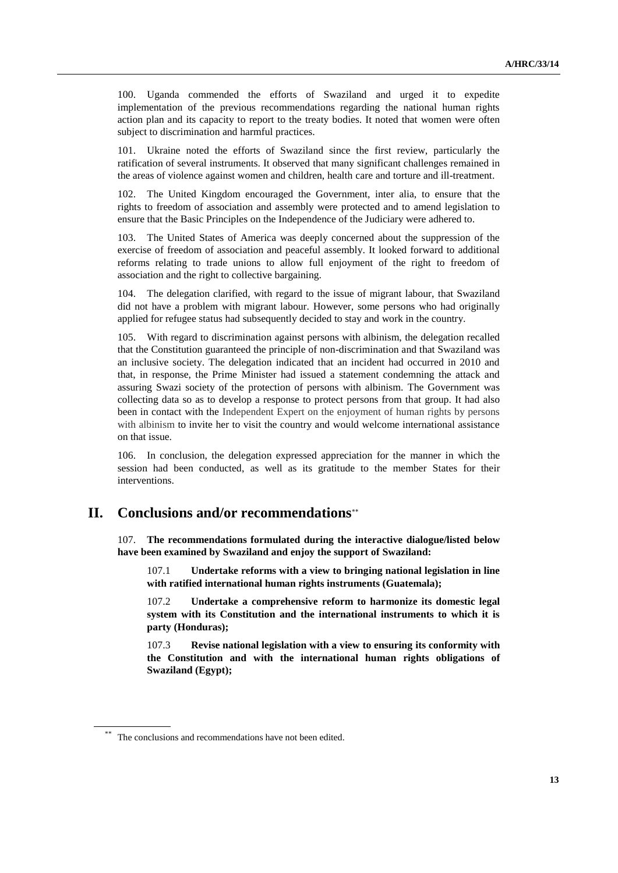100. Uganda commended the efforts of Swaziland and urged it to expedite implementation of the previous recommendations regarding the national human rights action plan and its capacity to report to the treaty bodies. It noted that women were often subject to discrimination and harmful practices.

101. Ukraine noted the efforts of Swaziland since the first review, particularly the ratification of several instruments. It observed that many significant challenges remained in the areas of violence against women and children, health care and torture and ill-treatment.

102. The United Kingdom encouraged the Government, inter alia, to ensure that the rights to freedom of association and assembly were protected and to amend legislation to ensure that the Basic Principles on the Independence of the Judiciary were adhered to.

103. The United States of America was deeply concerned about the suppression of the exercise of freedom of association and peaceful assembly. It looked forward to additional reforms relating to trade unions to allow full enjoyment of the right to freedom of association and the right to collective bargaining.

104. The delegation clarified, with regard to the issue of migrant labour, that Swaziland did not have a problem with migrant labour. However, some persons who had originally applied for refugee status had subsequently decided to stay and work in the country.

105. With regard to discrimination against persons with albinism, the delegation recalled that the Constitution guaranteed the principle of non-discrimination and that Swaziland was an inclusive society. The delegation indicated that an incident had occurred in 2010 and that, in response, the Prime Minister had issued a statement condemning the attack and assuring Swazi society of the protection of persons with albinism. The Government was collecting data so as to develop a response to protect persons from that group. It had also been in contact with the Independent Expert on the enjoyment of human rights by persons with albinism to invite her to visit the country and would welcome international assistance on that issue.

106. In conclusion, the delegation expressed appreciation for the manner in which the session had been conducted, as well as its gratitude to the member States for their interventions.

### **II. Conclusions and/or recommendations**

107. **The recommendations formulated during the interactive dialogue/listed below have been examined by Swaziland and enjoy the support of Swaziland:**

107.1 **Undertake reforms with a view to bringing national legislation in line with ratified international human rights instruments (Guatemala);**

107.2 **Undertake a comprehensive reform to harmonize its domestic legal system with its Constitution and the international instruments to which it is party (Honduras);**

107.3 **Revise national legislation with a view to ensuring its conformity with the Constitution and with the international human rights obligations of Swaziland (Egypt);** 

The conclusions and recommendations have not been edited.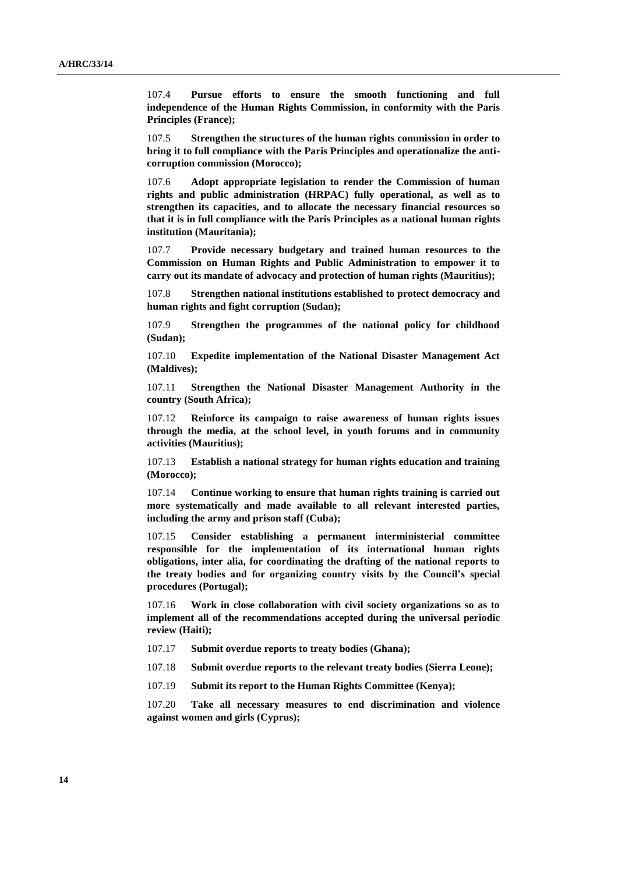107.4 **Pursue efforts to ensure the smooth functioning and full independence of the Human Rights Commission, in conformity with the Paris Principles (France);** 

107.5 **Strengthen the structures of the human rights commission in order to bring it to full compliance with the Paris Principles and operationalize the anticorruption commission (Morocco);** 

107.6 **Adopt appropriate legislation to render the Commission of human rights and public administration (HRPAC) fully operational, as well as to strengthen its capacities, and to allocate the necessary financial resources so that it is in full compliance with the Paris Principles as a national human rights institution (Mauritania);**

107.7 **Provide necessary budgetary and trained human resources to the Commission on Human Rights and Public Administration to empower it to carry out its mandate of advocacy and protection of human rights (Mauritius);**

107.8 **Strengthen national institutions established to protect democracy and human rights and fight corruption (Sudan);**

107.9 **Strengthen the programmes of the national policy for childhood (Sudan);**

107.10 **Expedite implementation of the National Disaster Management Act (Maldives);** 

107.11 **Strengthen the National Disaster Management Authority in the country (South Africa);**

107.12 **Reinforce its campaign to raise awareness of human rights issues through the media, at the school level, in youth forums and in community activities (Mauritius);**

107.13 **Establish a national strategy for human rights education and training (Morocco);** 

107.14 **Continue working to ensure that human rights training is carried out more systematically and made available to all relevant interested parties, including the army and prison staff (Cuba);**

107.15 **Consider establishing a permanent interministerial committee responsible for the implementation of its international human rights obligations, inter alia, for coordinating the drafting of the national reports to the treaty bodies and for organizing country visits by the Council's special procedures (Portugal);**

107.16 **Work in close collaboration with civil society organizations so as to implement all of the recommendations accepted during the universal periodic review (Haiti);**

- 107.17 **Submit overdue reports to treaty bodies (Ghana);**
- 107.18 **Submit overdue reports to the relevant treaty bodies (Sierra Leone);**
- 107.19 **Submit its report to the Human Rights Committee (Kenya);**

107.20 **Take all necessary measures to end discrimination and violence against women and girls (Cyprus);**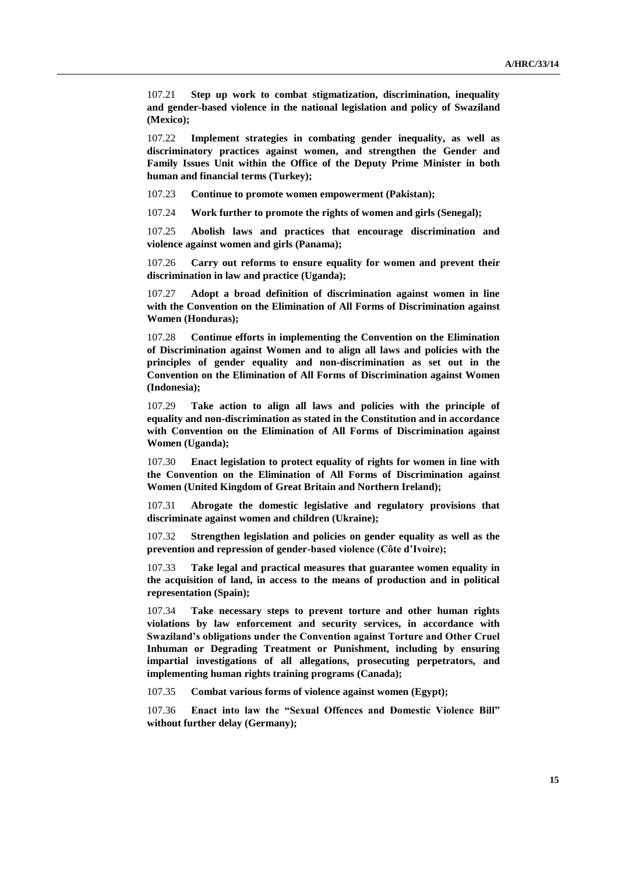107.21 **Step up work to combat stigmatization, discrimination, inequality and gender-based violence in the national legislation and policy of Swaziland (Mexico);**

107.22 **Implement strategies in combating gender inequality, as well as discriminatory practices against women, and strengthen the Gender and Family Issues Unit within the Office of the Deputy Prime Minister in both human and financial terms (Turkey);**

107.23 **Continue to promote women empowerment (Pakistan);** 

107.24 **Work further to promote the rights of women and girls (Senegal);**

107.25 **Abolish laws and practices that encourage discrimination and violence against women and girls (Panama);**

107.26 **Carry out reforms to ensure equality for women and prevent their discrimination in law and practice (Uganda);**

107.27 **Adopt a broad definition of discrimination against women in line with the Convention on the Elimination of All Forms of Discrimination against Women (Honduras);**

107.28 **Continue efforts in implementing the Convention on the Elimination of Discrimination against Women and to align all laws and policies with the principles of gender equality and non-discrimination as set out in the Convention on the Elimination of All Forms of Discrimination against Women (Indonesia);**

107.29 **Take action to align all laws and policies with the principle of equality and non-discrimination as stated in the Constitution and in accordance with Convention on the Elimination of All Forms of Discrimination against Women (Uganda);**

107.30 **Enact legislation to protect equality of rights for women in line with the Convention on the Elimination of All Forms of Discrimination against Women (United Kingdom of Great Britain and Northern Ireland);**

107.31 **Abrogate the domestic legislative and regulatory provisions that discriminate against women and children (Ukraine);**

107.32 **Strengthen legislation and policies on gender equality as well as the prevention and repression of gender-based violence (Côte d'Ivoire);**

107.33 **Take legal and practical measures that guarantee women equality in the acquisition of land, in access to the means of production and in political representation (Spain);**

107.34 **Take necessary steps to prevent torture and other human rights violations by law enforcement and security services, in accordance with Swaziland's obligations under the Convention against Torture and Other Cruel Inhuman or Degrading Treatment or Punishment, including by ensuring impartial investigations of all allegations, prosecuting perpetrators, and implementing human rights training programs (Canada);**

107.35 **Combat various forms of violence against women (Egypt);** 

107.36 **Enact into law the "Sexual Offences and Domestic Violence Bill" without further delay (Germany);**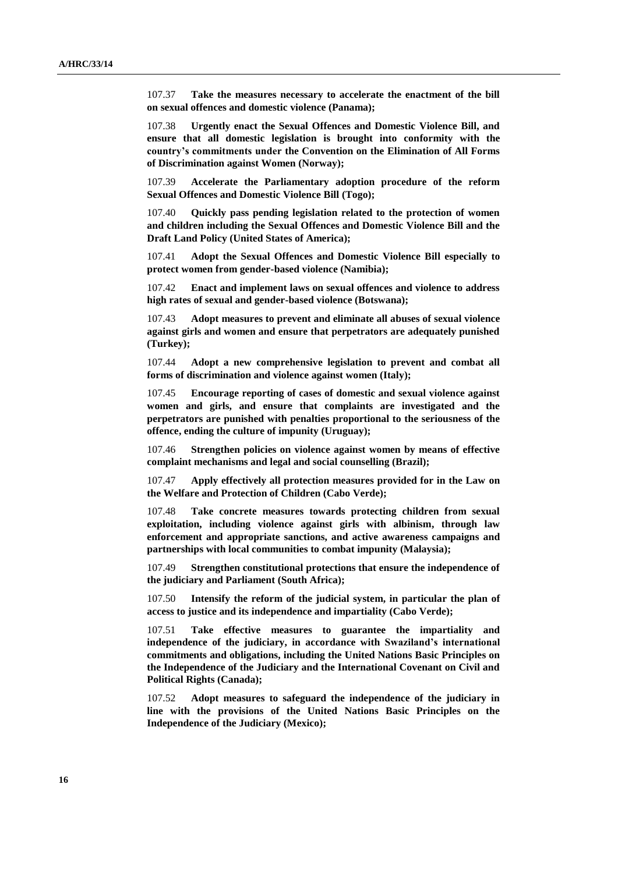107.37 **Take the measures necessary to accelerate the enactment of the bill on sexual offences and domestic violence (Panama);**

107.38 **Urgently enact the Sexual Offences and Domestic Violence Bill, and ensure that all domestic legislation is brought into conformity with the country's commitments under the Convention on the Elimination of All Forms of Discrimination against Women (Norway);** 

107.39 **Accelerate the Parliamentary adoption procedure of the reform Sexual Offences and Domestic Violence Bill (Togo);**

107.40 **Quickly pass pending legislation related to the protection of women and children including the Sexual Offences and Domestic Violence Bill and the Draft Land Policy (United States of America);**

107.41 **Adopt the Sexual Offences and Domestic Violence Bill especially to protect women from gender-based violence (Namibia);** 

107.42 **Enact and implement laws on sexual offences and violence to address high rates of sexual and gender-based violence (Botswana);** 

107.43 **Adopt measures to prevent and eliminate all abuses of sexual violence against girls and women and ensure that perpetrators are adequately punished (Turkey);**

107.44 **Adopt a new comprehensive legislation to prevent and combat all forms of discrimination and violence against women (Italy);**

107.45 **Encourage reporting of cases of domestic and sexual violence against women and girls, and ensure that complaints are investigated and the perpetrators are punished with penalties proportional to the seriousness of the offence, ending the culture of impunity (Uruguay);** 

107.46 **Strengthen policies on violence against women by means of effective complaint mechanisms and legal and social counselling (Brazil);** 

107.47 **Apply effectively all protection measures provided for in the Law on the Welfare and Protection of Children (Cabo Verde);** 

107.48 **Take concrete measures towards protecting children from sexual exploitation, including violence against girls with albinism, through law enforcement and appropriate sanctions, and active awareness campaigns and partnerships with local communities to combat impunity (Malaysia);** 

107.49 **Strengthen constitutional protections that ensure the independence of the judiciary and Parliament (South Africa);**

107.50 **Intensify the reform of the judicial system, in particular the plan of access to justice and its independence and impartiality (Cabo Verde);** 

107.51 **Take effective measures to guarantee the impartiality and independence of the judiciary, in accordance with Swaziland's international commitments and obligations, including the United Nations Basic Principles on the Independence of the Judiciary and the International Covenant on Civil and Political Rights (Canada);**

107.52 **Adopt measures to safeguard the independence of the judiciary in line with the provisions of the United Nations Basic Principles on the Independence of the Judiciary (Mexico);**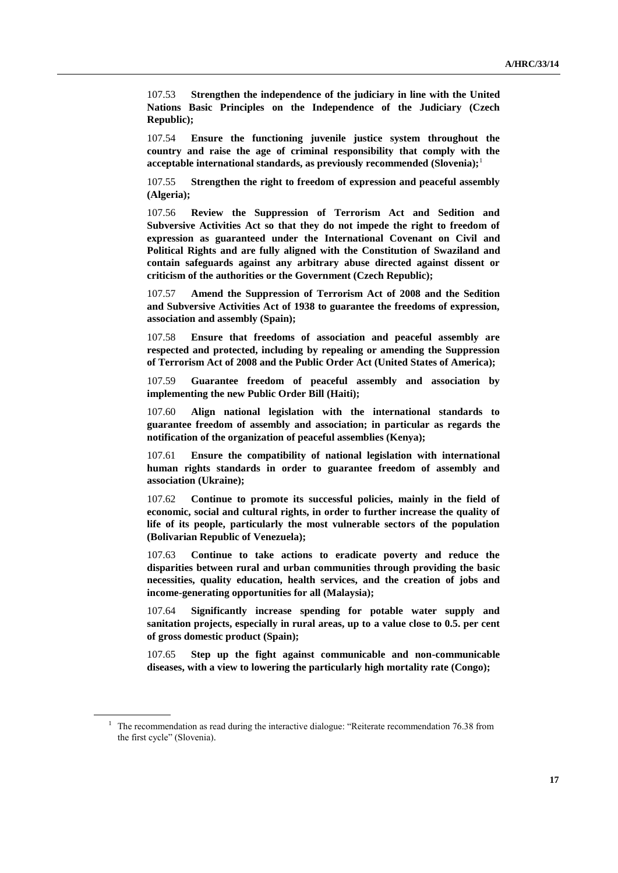107.53 **Strengthen the independence of the judiciary in line with the United Nations Basic Principles on the Independence of the Judiciary (Czech Republic);**

107.54 **Ensure the functioning juvenile justice system throughout the country and raise the age of criminal responsibility that comply with the acceptable international standards, as previously recommended (Slovenia);**<sup>1</sup>

107.55 **Strengthen the right to freedom of expression and peaceful assembly (Algeria);** 

107.56 **Review the Suppression of Terrorism Act and Sedition and Subversive Activities Act so that they do not impede the right to freedom of expression as guaranteed under the International Covenant on Civil and Political Rights and are fully aligned with the Constitution of Swaziland and contain safeguards against any arbitrary abuse directed against dissent or criticism of the authorities or the Government (Czech Republic);** 

107.57 **Amend the Suppression of Terrorism Act of 2008 and the Sedition and Subversive Activities Act of 1938 to guarantee the freedoms of expression, association and assembly (Spain);**

107.58 **Ensure that freedoms of association and peaceful assembly are respected and protected, including by repealing or amending the Suppression of Terrorism Act of 2008 and the Public Order Act (United States of America);**

107.59 **Guarantee freedom of peaceful assembly and association by implementing the new Public Order Bill (Haiti);**

107.60 **Align national legislation with the international standards to guarantee freedom of assembly and association; in particular as regards the notification of the organization of peaceful assemblies (Kenya);**

107.61 **Ensure the compatibility of national legislation with international human rights standards in order to guarantee freedom of assembly and association (Ukraine);**

107.62 **Continue to promote its successful policies, mainly in the field of economic, social and cultural rights, in order to further increase the quality of life of its people, particularly the most vulnerable sectors of the population (Bolivarian Republic of Venezuela);** 

107.63 **Continue to take actions to eradicate poverty and reduce the disparities between rural and urban communities through providing the basic necessities, quality education, health services, and the creation of jobs and income-generating opportunities for all (Malaysia);** 

107.64 **Significantly increase spending for potable water supply and sanitation projects, especially in rural areas, up to a value close to 0.5. per cent of gross domestic product (Spain);**

107.65 **Step up the fight against communicable and non-communicable diseases, with a view to lowering the particularly high mortality rate (Congo);**

<sup>&</sup>lt;sup>1</sup> The recommendation as read during the interactive dialogue: "Reiterate recommendation 76.38 from the first cycle" (Slovenia).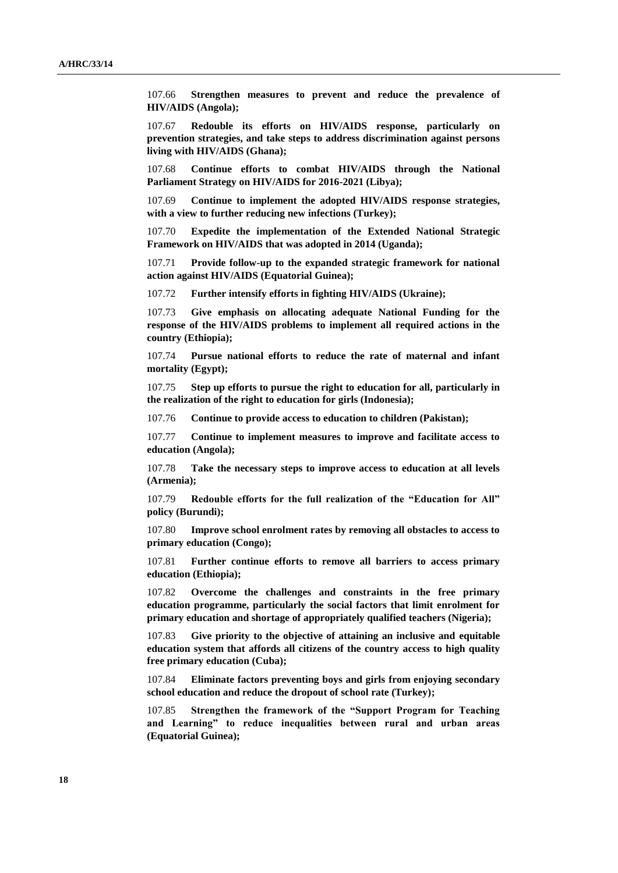107.66 **Strengthen measures to prevent and reduce the prevalence of HIV/AIDS (Angola);** 

107.67 **Redouble its efforts on HIV/AIDS response, particularly on prevention strategies, and take steps to address discrimination against persons living with HIV/AIDS (Ghana);** 

107.68 **Continue efforts to combat HIV/AIDS through the National Parliament Strategy on HIV/AIDS for 2016-2021 (Libya);**

107.69 **Continue to implement the adopted HIV/AIDS response strategies, with a view to further reducing new infections (Turkey);**

107.70 **Expedite the implementation of the Extended National Strategic Framework on HIV/AIDS that was adopted in 2014 (Uganda);**

107.71 **Provide follow-up to the expanded strategic framework for national action against HIV/AIDS (Equatorial Guinea);**

107.72 **Further intensify efforts in fighting HIV/AIDS (Ukraine);**

107.73 **Give emphasis on allocating adequate National Funding for the response of the HIV/AIDS problems to implement all required actions in the country (Ethiopia);**

107.74 **Pursue national efforts to reduce the rate of maternal and infant mortality (Egypt);** 

107.75 **Step up efforts to pursue the right to education for all, particularly in the realization of the right to education for girls (Indonesia);**

107.76 **Continue to provide access to education to children (Pakistan);** 

107.77 **Continue to implement measures to improve and facilitate access to education (Angola);** 

107.78 **Take the necessary steps to improve access to education at all levels (Armenia);** 

107.79 **Redouble efforts for the full realization of the "Education for All" policy (Burundi);** 

107.80 **Improve school enrolment rates by removing all obstacles to access to primary education (Congo);** 

107.81 **Further continue efforts to remove all barriers to access primary education (Ethiopia);**

107.82 **Overcome the challenges and constraints in the free primary education programme, particularly the social factors that limit enrolment for primary education and shortage of appropriately qualified teachers (Nigeria);** 

107.83 **Give priority to the objective of attaining an inclusive and equitable education system that affords all citizens of the country access to high quality free primary education (Cuba);**

107.84 **Eliminate factors preventing boys and girls from enjoying secondary school education and reduce the dropout of school rate (Turkey);**

107.85 **Strengthen the framework of the "Support Program for Teaching and Learning" to reduce inequalities between rural and urban areas (Equatorial Guinea);**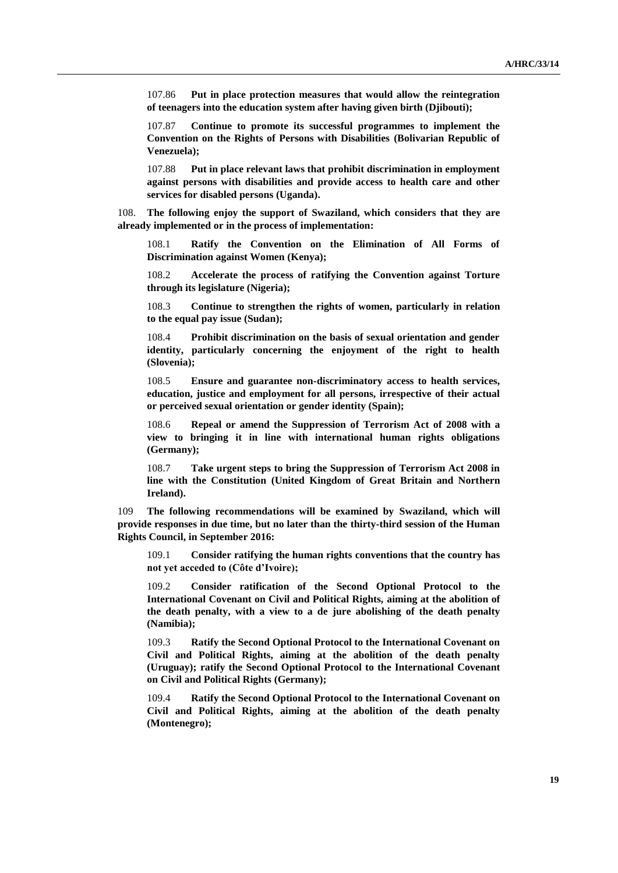107.86 **Put in place protection measures that would allow the reintegration of teenagers into the education system after having given birth (Djibouti);**

107.87 **Continue to promote its successful programmes to implement the Convention on the Rights of Persons with Disabilities (Bolivarian Republic of Venezuela);**

107.88 **Put in place relevant laws that prohibit discrimination in employment against persons with disabilities and provide access to health care and other services for disabled persons (Uganda).**

108. **The following enjoy the support of Swaziland, which considers that they are already implemented or in the process of implementation:**

108.1 **Ratify the Convention on the Elimination of All Forms of Discrimination against Women (Kenya);**

108.2 **Accelerate the process of ratifying the Convention against Torture through its legislature (Nigeria);**

108.3 **Continue to strengthen the rights of women, particularly in relation to the equal pay issue (Sudan);**

108.4 **Prohibit discrimination on the basis of sexual orientation and gender identity, particularly concerning the enjoyment of the right to health (Slovenia);**

108.5 **Ensure and guarantee non-discriminatory access to health services, education, justice and employment for all persons, irrespective of their actual or perceived sexual orientation or gender identity (Spain);**

108.6 **Repeal or amend the Suppression of Terrorism Act of 2008 with a view to bringing it in line with international human rights obligations (Germany);**

108.7 **Take urgent steps to bring the Suppression of Terrorism Act 2008 in line with the Constitution (United Kingdom of Great Britain and Northern Ireland).**

109 **The following recommendations will be examined by Swaziland, which will provide responses in due time, but no later than the thirty-third session of the Human Rights Council, in September 2016:**

109.1 **Consider ratifying the human rights conventions that the country has not yet acceded to (Côte d'Ivoire);**

109.2 **Consider ratification of the Second Optional Protocol to the International Covenant on Civil and Political Rights, aiming at the abolition of the death penalty, with a view to a de jure abolishing of the death penalty (Namibia);**

109.3 **Ratify the Second Optional Protocol to the International Covenant on Civil and Political Rights, aiming at the abolition of the death penalty (Uruguay); ratify the Second Optional Protocol to the International Covenant on Civil and Political Rights (Germany);**

109.4 **Ratify the Second Optional Protocol to the International Covenant on Civil and Political Rights, aiming at the abolition of the death penalty (Montenegro);**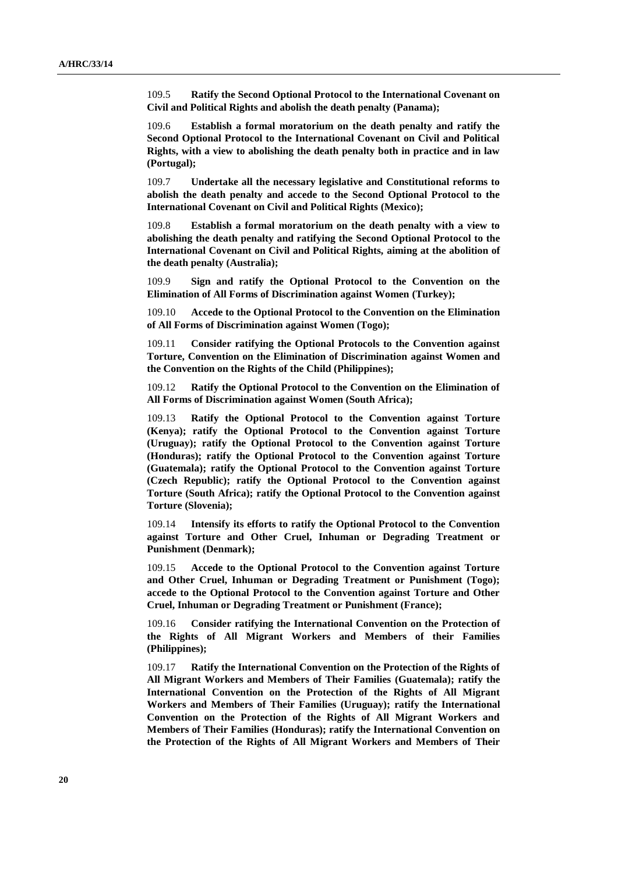109.5 **Ratify the Second Optional Protocol to the International Covenant on Civil and Political Rights and abolish the death penalty (Panama);**

109.6 **Establish a formal moratorium on the death penalty and ratify the Second Optional Protocol to the International Covenant on Civil and Political Rights, with a view to abolishing the death penalty both in practice and in law (Portugal);**

109.7 **Undertake all the necessary legislative and Constitutional reforms to abolish the death penalty and accede to the Second Optional Protocol to the International Covenant on Civil and Political Rights (Mexico);**

109.8 **Establish a formal moratorium on the death penalty with a view to abolishing the death penalty and ratifying the Second Optional Protocol to the International Covenant on Civil and Political Rights, aiming at the abolition of the death penalty (Australia);** 

109.9 **Sign and ratify the Optional Protocol to the Convention on the Elimination of All Forms of Discrimination against Women (Turkey);**

109.10 **Accede to the Optional Protocol to the Convention on the Elimination of All Forms of Discrimination against Women (Togo);**

109.11 **Consider ratifying the Optional Protocols to the Convention against Torture, Convention on the Elimination of Discrimination against Women and the Convention on the Rights of the Child (Philippines);**

109.12 **Ratify the Optional Protocol to the Convention on the Elimination of All Forms of Discrimination against Women (South Africa);**

109.13 **Ratify the Optional Protocol to the Convention against Torture (Kenya); ratify the Optional Protocol to the Convention against Torture (Uruguay); ratify the Optional Protocol to the Convention against Torture (Honduras); ratify the Optional Protocol to the Convention against Torture (Guatemala); ratify the Optional Protocol to the Convention against Torture (Czech Republic); ratify the Optional Protocol to the Convention against Torture (South Africa); ratify the Optional Protocol to the Convention against Torture (Slovenia);**

109.14 **Intensify its efforts to ratify the Optional Protocol to the Convention against Torture and Other Cruel, Inhuman or Degrading Treatment or Punishment (Denmark);**

109.15 **Accede to the Optional Protocol to the Convention against Torture and Other Cruel, Inhuman or Degrading Treatment or Punishment (Togo); accede to the Optional Protocol to the Convention against Torture and Other Cruel, Inhuman or Degrading Treatment or Punishment (France);**

109.16 **Consider ratifying the International Convention on the Protection of the Rights of All Migrant Workers and Members of their Families (Philippines);**

109.17 **Ratify the International Convention on the Protection of the Rights of All Migrant Workers and Members of Their Families (Guatemala); ratify the International Convention on the Protection of the Rights of All Migrant Workers and Members of Their Families (Uruguay); ratify the International Convention on the Protection of the Rights of All Migrant Workers and Members of Their Families (Honduras); ratify the International Convention on the Protection of the Rights of All Migrant Workers and Members of Their**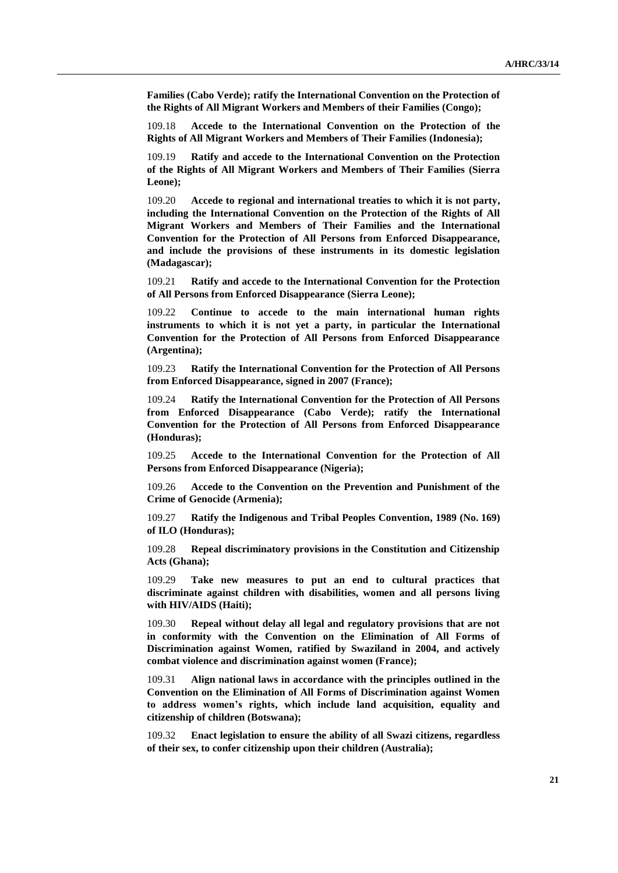**Families (Cabo Verde); ratify the International Convention on the Protection of the Rights of All Migrant Workers and Members of their Families (Congo);** 

109.18 **Accede to the International Convention on the Protection of the Rights of All Migrant Workers and Members of Their Families (Indonesia);**

109.19 **Ratify and accede to the International Convention on the Protection of the Rights of All Migrant Workers and Members of Their Families (Sierra Leone);**

109.20 **Accede to regional and international treaties to which it is not party, including the International Convention on the Protection of the Rights of All Migrant Workers and Members of Their Families and the International Convention for the Protection of All Persons from Enforced Disappearance, and include the provisions of these instruments in its domestic legislation (Madagascar);**

109.21 **Ratify and accede to the International Convention for the Protection of All Persons from Enforced Disappearance (Sierra Leone);**

109.22 **Continue to accede to the main international human rights instruments to which it is not yet a party, in particular the International Convention for the Protection of All Persons from Enforced Disappearance (Argentina);**

109.23 **Ratify the International Convention for the Protection of All Persons from Enforced Disappearance, signed in 2007 (France);** 

109.24 **Ratify the International Convention for the Protection of All Persons from Enforced Disappearance (Cabo Verde); ratify the International Convention for the Protection of All Persons from Enforced Disappearance (Honduras);**

109.25 **Accede to the International Convention for the Protection of All Persons from Enforced Disappearance (Nigeria);** 

109.26 **Accede to the Convention on the Prevention and Punishment of the Crime of Genocide (Armenia);**

109.27 **Ratify the Indigenous and Tribal Peoples Convention, 1989 (No. 169) of ILO (Honduras);**

109.28 **Repeal discriminatory provisions in the Constitution and Citizenship Acts (Ghana);** 

109.29 **Take new measures to put an end to cultural practices that discriminate against children with disabilities, women and all persons living with HIV/AIDS (Haiti);**

109.30 **Repeal without delay all legal and regulatory provisions that are not in conformity with the Convention on the Elimination of All Forms of Discrimination against Women, ratified by Swaziland in 2004, and actively combat violence and discrimination against women (France);** 

109.31 **Align national laws in accordance with the principles outlined in the Convention on the Elimination of All Forms of Discrimination against Women to address women's rights, which include land acquisition, equality and citizenship of children (Botswana);**

109.32 **Enact legislation to ensure the ability of all Swazi citizens, regardless of their sex, to confer citizenship upon their children (Australia);**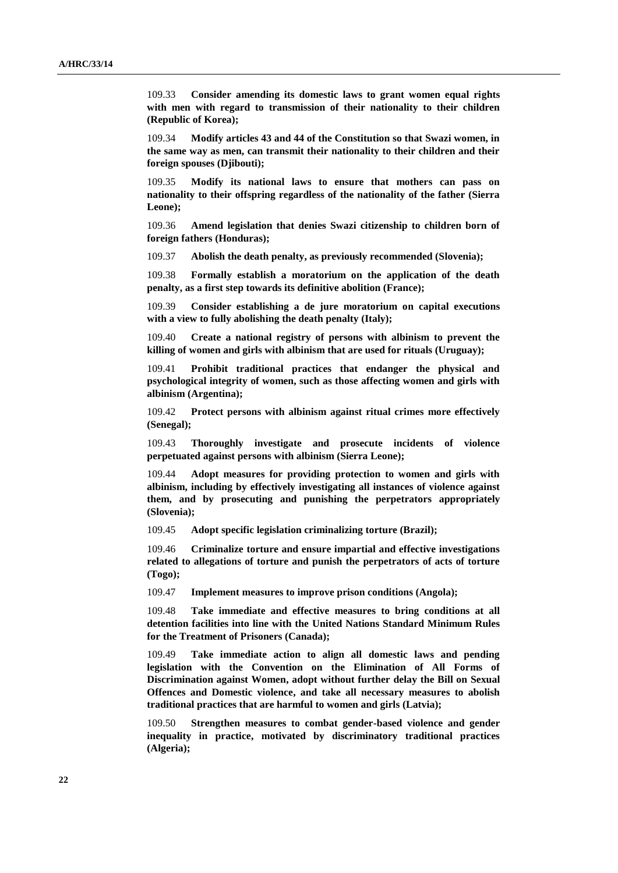109.33 **Consider amending its domestic laws to grant women equal rights with men with regard to transmission of their nationality to their children (Republic of Korea);**

109.34 **Modify articles 43 and 44 of the Constitution so that Swazi women, in the same way as men, can transmit their nationality to their children and their foreign spouses (Djibouti);**

109.35 **Modify its national laws to ensure that mothers can pass on nationality to their offspring regardless of the nationality of the father (Sierra Leone);**

109.36 **Amend legislation that denies Swazi citizenship to children born of foreign fathers (Honduras);**

109.37 **Abolish the death penalty, as previously recommended (Slovenia);**

109.38 **Formally establish a moratorium on the application of the death penalty, as a first step towards its definitive abolition (France);**

109.39 **Consider establishing a de jure moratorium on capital executions with a view to fully abolishing the death penalty (Italy);**

109.40 **Create a national registry of persons with albinism to prevent the killing of women and girls with albinism that are used for rituals (Uruguay);** 

109.41 **Prohibit traditional practices that endanger the physical and psychological integrity of women, such as those affecting women and girls with albinism (Argentina);** 

109.42 **Protect persons with albinism against ritual crimes more effectively (Senegal);**

109.43 **Thoroughly investigate and prosecute incidents of violence perpetuated against persons with albinism (Sierra Leone);**

109.44 **Adopt measures for providing protection to women and girls with albinism, including by effectively investigating all instances of violence against them, and by prosecuting and punishing the perpetrators appropriately (Slovenia);**

109.45 **Adopt specific legislation criminalizing torture (Brazil);** 

109.46 **Criminalize torture and ensure impartial and effective investigations related to allegations of torture and punish the perpetrators of acts of torture (Togo);**

109.47 **Implement measures to improve prison conditions (Angola);** 

109.48 **Take immediate and effective measures to bring conditions at all detention facilities into line with the United Nations Standard Minimum Rules for the Treatment of Prisoners (Canada);**

109.49 **Take immediate action to align all domestic laws and pending legislation with the Convention on the Elimination of All Forms of Discrimination against Women, adopt without further delay the Bill on Sexual Offences and Domestic violence, and take all necessary measures to abolish traditional practices that are harmful to women and girls (Latvia);**

109.50 **Strengthen measures to combat gender-based violence and gender inequality in practice, motivated by discriminatory traditional practices (Algeria);**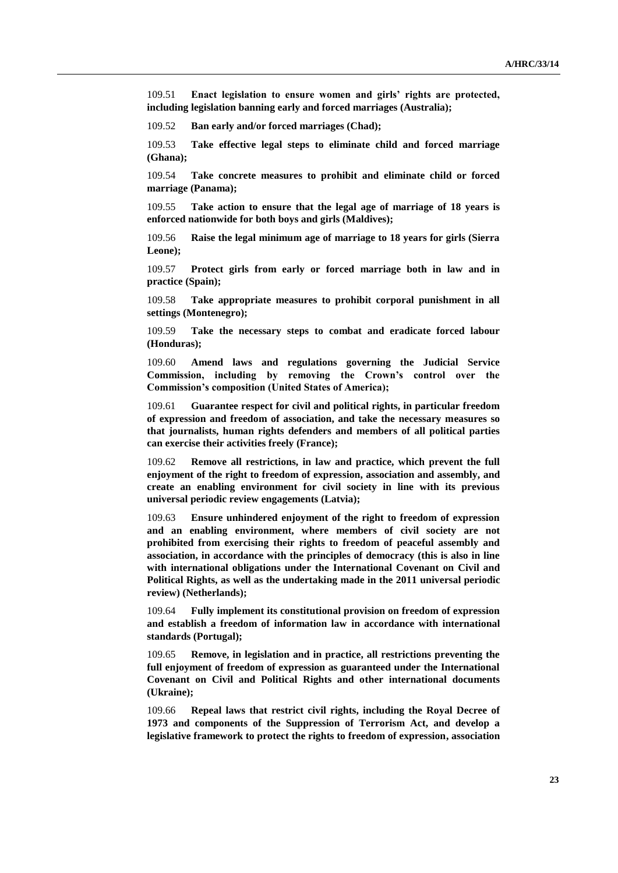109.51 **Enact legislation to ensure women and girls' rights are protected, including legislation banning early and forced marriages (Australia);**

109.52 **Ban early and/or forced marriages (Chad);** 

109.53 **Take effective legal steps to eliminate child and forced marriage (Ghana);**

109.54 **Take concrete measures to prohibit and eliminate child or forced marriage (Panama);**

109.55 **Take action to ensure that the legal age of marriage of 18 years is enforced nationwide for both boys and girls (Maldives);**

109.56 **Raise the legal minimum age of marriage to 18 years for girls (Sierra Leone);**

109.57 **Protect girls from early or forced marriage both in law and in practice (Spain);**

109.58 **Take appropriate measures to prohibit corporal punishment in all settings (Montenegro);** 

109.59 **Take the necessary steps to combat and eradicate forced labour (Honduras);**

109.60 **Amend laws and regulations governing the Judicial Service Commission, including by removing the Crown's control over the Commission's composition (United States of America);**

109.61 **Guarantee respect for civil and political rights, in particular freedom of expression and freedom of association, and take the necessary measures so that journalists, human rights defenders and members of all political parties can exercise their activities freely (France);** 

109.62 **Remove all restrictions, in law and practice, which prevent the full enjoyment of the right to freedom of expression, association and assembly, and create an enabling environment for civil society in line with its previous universal periodic review engagements (Latvia);**

109.63 **Ensure unhindered enjoyment of the right to freedom of expression and an enabling environment, where members of civil society are not prohibited from exercising their rights to freedom of peaceful assembly and association, in accordance with the principles of democracy (this is also in line with international obligations under the International Covenant on Civil and Political Rights, as well as the undertaking made in the 2011 universal periodic review) (Netherlands);** 

109.64 **Fully implement its constitutional provision on freedom of expression and establish a freedom of information law in accordance with international standards (Portugal);**

109.65 **Remove, in legislation and in practice, all restrictions preventing the full enjoyment of freedom of expression as guaranteed under the International Covenant on Civil and Political Rights and other international documents (Ukraine);**

109.66 **Repeal laws that restrict civil rights, including the Royal Decree of 1973 and components of the Suppression of Terrorism Act, and develop a legislative framework to protect the rights to freedom of expression, association**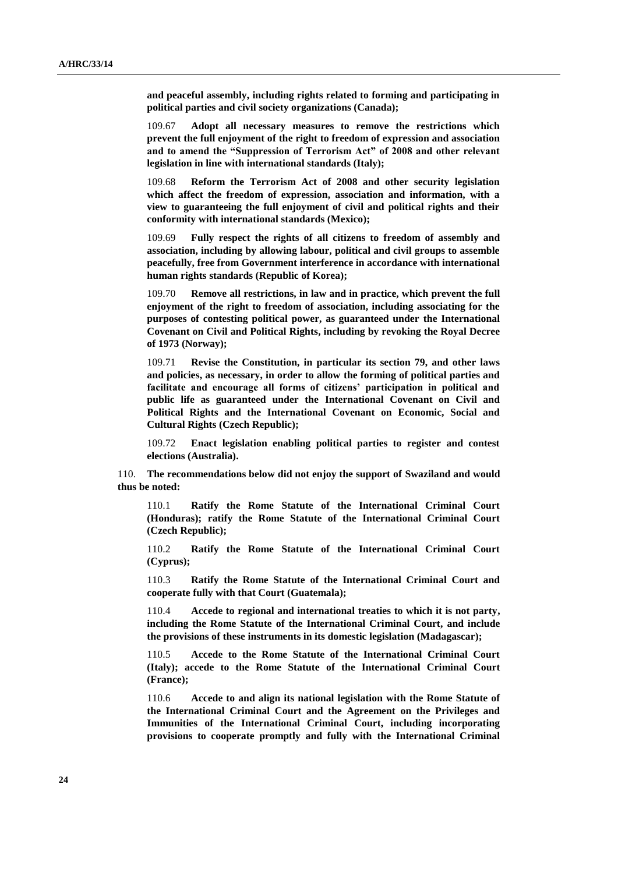**and peaceful assembly, including rights related to forming and participating in political parties and civil society organizations (Canada);** 

109.67 **Adopt all necessary measures to remove the restrictions which prevent the full enjoyment of the right to freedom of expression and association and to amend the "Suppression of Terrorism Act" of 2008 and other relevant legislation in line with international standards (Italy);**

109.68 **Reform the Terrorism Act of 2008 and other security legislation which affect the freedom of expression, association and information, with a view to guaranteeing the full enjoyment of civil and political rights and their conformity with international standards (Mexico);** 

109.69 **Fully respect the rights of all citizens to freedom of assembly and association, including by allowing labour, political and civil groups to assemble peacefully, free from Government interference in accordance with international human rights standards (Republic of Korea);**

109.70 **Remove all restrictions, in law and in practice, which prevent the full enjoyment of the right to freedom of association, including associating for the purposes of contesting political power, as guaranteed under the International Covenant on Civil and Political Rights, including by revoking the Royal Decree of 1973 (Norway);** 

109.71 **Revise the Constitution, in particular its section 79, and other laws and policies, as necessary, in order to allow the forming of political parties and facilitate and encourage all forms of citizens' participation in political and public life as guaranteed under the International Covenant on Civil and Political Rights and the International Covenant on Economic, Social and Cultural Rights (Czech Republic);** 

109.72 **Enact legislation enabling political parties to register and contest elections (Australia).**

110. **The recommendations below did not enjoy the support of Swaziland and would thus be noted:**

110.1 **Ratify the Rome Statute of the International Criminal Court (Honduras); ratify the Rome Statute of the International Criminal Court (Czech Republic);**

110.2 **Ratify the Rome Statute of the International Criminal Court (Cyprus);**

110.3 **Ratify the Rome Statute of the International Criminal Court and cooperate fully with that Court (Guatemala);**

110.4 **Accede to regional and international treaties to which it is not party, including the Rome Statute of the International Criminal Court, and include the provisions of these instruments in its domestic legislation (Madagascar);**

110.5 **Accede to the Rome Statute of the International Criminal Court (Italy); accede to the Rome Statute of the International Criminal Court (France);**

110.6 **Accede to and align its national legislation with the Rome Statute of the International Criminal Court and the Agreement on the Privileges and Immunities of the International Criminal Court, including incorporating provisions to cooperate promptly and fully with the International Criminal**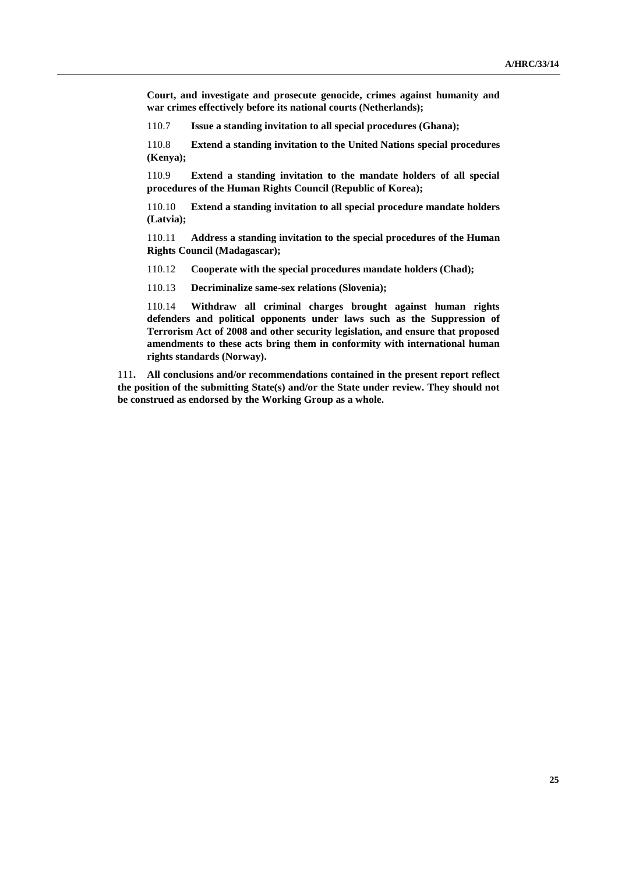**Court, and investigate and prosecute genocide, crimes against humanity and war crimes effectively before its national courts (Netherlands);** 

110.7 **Issue a standing invitation to all special procedures (Ghana);** 

110.8 **Extend a standing invitation to the United Nations special procedures (Kenya);**

110.9 **Extend a standing invitation to the mandate holders of all special procedures of the Human Rights Council (Republic of Korea);**

110.10 **Extend a standing invitation to all special procedure mandate holders (Latvia);**

110.11 **Address a standing invitation to the special procedures of the Human Rights Council (Madagascar);**

110.12 **Cooperate with the special procedures mandate holders (Chad);** 

110.13 **Decriminalize same-sex relations (Slovenia);**

110.14 **Withdraw all criminal charges brought against human rights defenders and political opponents under laws such as the Suppression of Terrorism Act of 2008 and other security legislation, and ensure that proposed amendments to these acts bring them in conformity with international human rights standards (Norway).**

111**. All conclusions and/or recommendations contained in the present report reflect the position of the submitting State(s) and/or the State under review. They should not be construed as endorsed by the Working Group as a whole.**